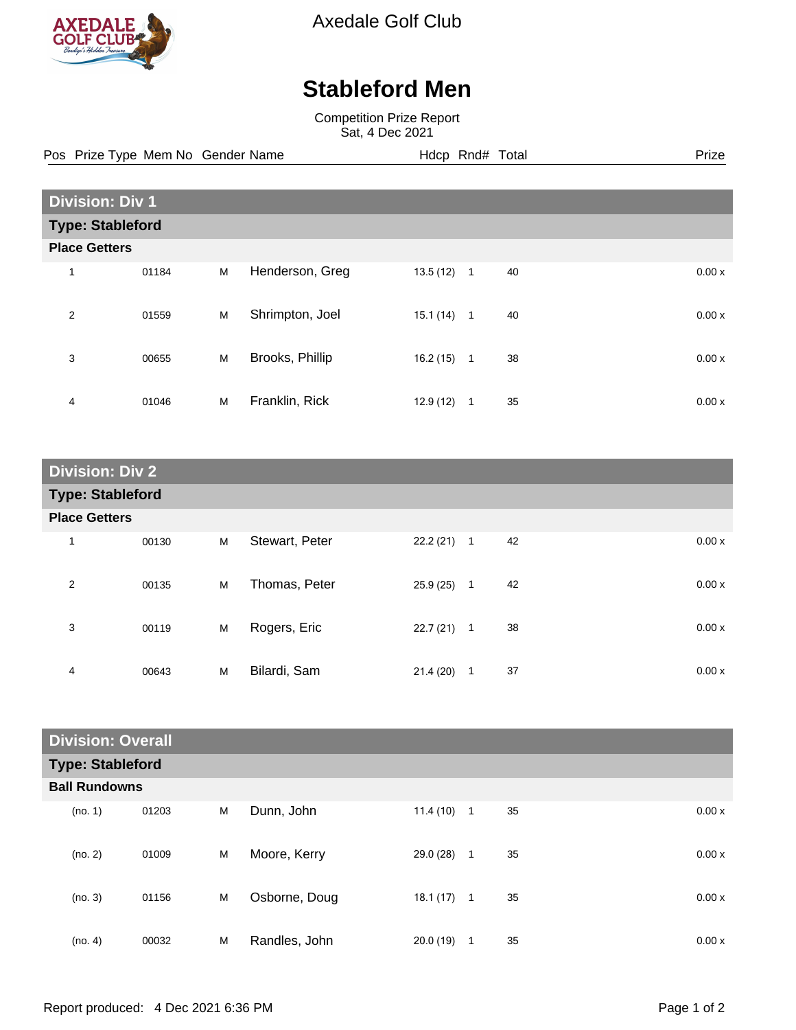

Axedale Golf Club

## **Stableford Men**

Competition Prize Report Sat, 4 Dec 2021

Pos Prize Type Mem No Gender Name **Hdcp Rnd# Total** Prize Prize

| <b>Division: Div 1</b>  |       |   |                 |           |                |    |  |       |
|-------------------------|-------|---|-----------------|-----------|----------------|----|--|-------|
| <b>Type: Stableford</b> |       |   |                 |           |                |    |  |       |
| <b>Place Getters</b>    |       |   |                 |           |                |    |  |       |
| 1                       | 01184 | M | Henderson, Greg | 13.5(12)  | $\overline{1}$ | 40 |  | 0.00x |
| $\overline{2}$          | 01559 | M | Shrimpton, Joel | 15.1(14)  | $\mathbf{1}$   | 40 |  | 0.00x |
| 3                       | 00655 | M | Brooks, Phillip | 16.2(15)  | $\mathbf{1}$   | 38 |  | 0.00x |
| 4                       | 01046 | M | Franklin, Rick  | 12.9 (12) | 1              | 35 |  | 0.00x |

| <b>Division: Div 2</b>  |       |   |                |              |                |    |       |
|-------------------------|-------|---|----------------|--------------|----------------|----|-------|
| <b>Type: Stableford</b> |       |   |                |              |                |    |       |
| <b>Place Getters</b>    |       |   |                |              |                |    |       |
| $\mathbf{1}$            | 00130 | M | Stewart, Peter | $22.2(21)$ 1 |                | 42 | 0.00x |
| 2                       | 00135 | M | Thomas, Peter  | 25.9(25)     | $\mathbf{1}$   | 42 | 0.00x |
| 3                       | 00119 | M | Rogers, Eric   | 22.7(21)     | $\overline{1}$ | 38 | 0.00x |
| 4                       | 00643 | M | Bilardi, Sam   | 21.4(20)     | 1              | 37 | 0.00x |

| <b>Division: Overall</b> |       |   |               |              |              |    |       |
|--------------------------|-------|---|---------------|--------------|--------------|----|-------|
| <b>Type: Stableford</b>  |       |   |               |              |              |    |       |
| <b>Ball Rundowns</b>     |       |   |               |              |              |    |       |
| (no. 1)                  | 01203 | M | Dunn, John    | 11.4(10)     | $\mathbf{1}$ | 35 | 0.00x |
| (no. 2)                  | 01009 | M | Moore, Kerry  | 29.0 (28)    | $\mathbf{1}$ | 35 | 0.00x |
| (no. 3)                  | 01156 | M | Osborne, Doug | $18.1(17)$ 1 |              | 35 | 0.00x |
| (no. 4)                  | 00032 | M | Randles, John | 20.0(19)     | 1            | 35 | 0.00x |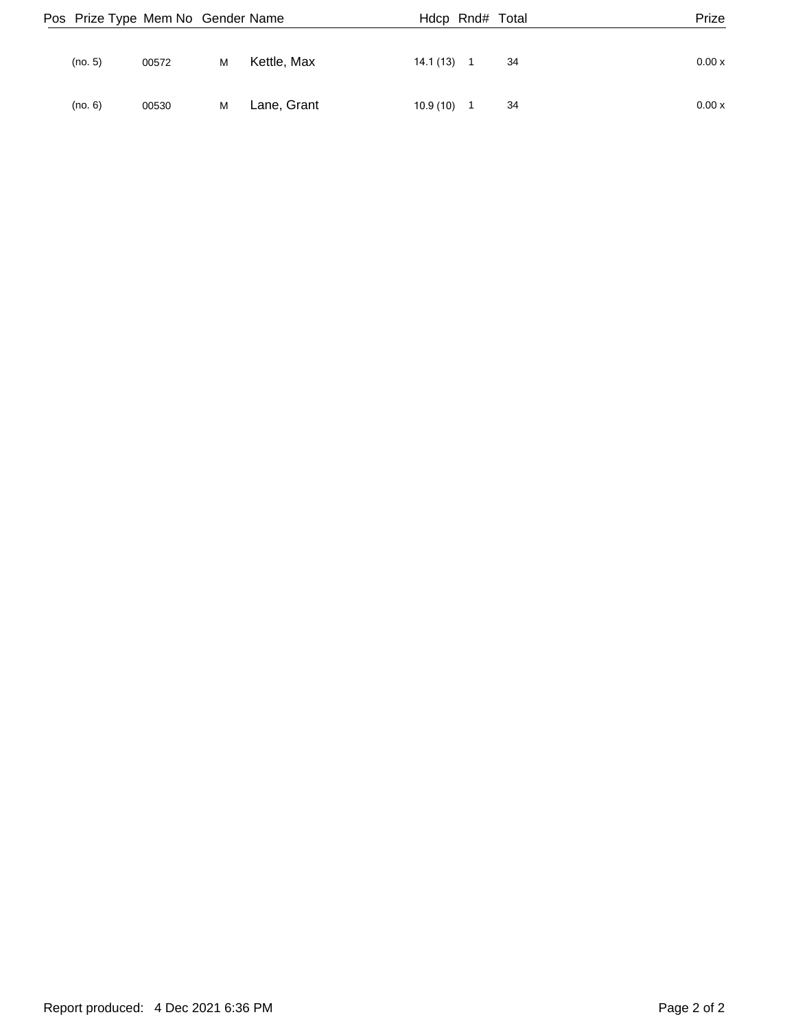|         | Pos Prize Type Mem No Gender Name |   |             | Hdcp Rnd# Total |                |    | Prize  |
|---------|-----------------------------------|---|-------------|-----------------|----------------|----|--------|
| (no. 5) | 00572                             | м | Kettle, Max | 14.1 (13)       | $\blacksquare$ | 34 | 0.00 x |
| (no. 6) | 00530                             | м | Lane, Grant | 10.9(10)        | $\overline{1}$ | 34 | 0.00 x |